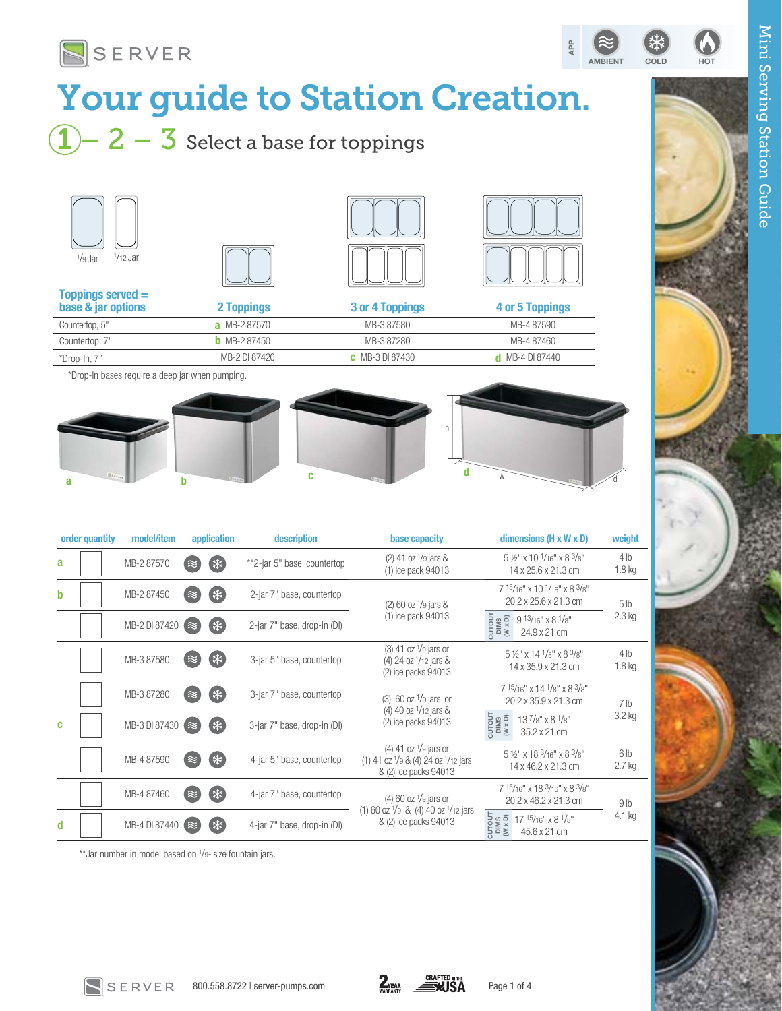

# Your guide to Station Creation.

# $\fbox{1}-\fbox{2}-\fbox{3}$  Select a base for toppings









| Toppings served $=$<br>base & jar options | 2 Toppings          | 3 or 4 Toppings        | 4 or 5 Toppings        |
|-------------------------------------------|---------------------|------------------------|------------------------|
| Countertop, 5"                            | <b>a</b> MB-287570  | MB-3 87580             | MB-4 87590             |
| Countertop, 7"                            | <b>b</b> MB-2 87450 | MB-387280              | MB-4 87460             |
| *Drop-In, 7"                              | MB-2 DI 87420       | <b>C</b> MB-3 DI 87430 | <b>d</b> MB-4 DI 87440 |
|                                           |                     |                        |                        |

\*Drop-In bases require a deep jar when pumping.



| order quantity | model/item    | application | description                 | base capacity                                                                                                         | dimensions ( $H \times W \times D$ )                                                                                                                | weight                      |
|----------------|---------------|-------------|-----------------------------|-----------------------------------------------------------------------------------------------------------------------|-----------------------------------------------------------------------------------------------------------------------------------------------------|-----------------------------|
| a              | MB-2 87570    | ∗<br>≈      | **2-jar 5" base, countertop | $(2)$ 41 oz $\frac{1}{9}$ jars &<br>$(1)$ ice pack 94013                                                              | $5\frac{1}{2}$ " x 10 $\frac{1}{16}$ " x 8 $\frac{3}{8}$ "<br>14 x 25.6 x 21.3 cm                                                                   | 4 <sub>lb</sub><br>$1.8$ kg |
| b              | MB-2 87450    | ₩<br>≈      | 2-jar 7" base, countertop   | $(2)$ 60 oz $\frac{1}{9}$ jars &                                                                                      | 7 15/16" x 10 1/16" x 8 3/8"<br>20.2 x 25.6 x 21.3 cm                                                                                               | 5 <sub>lb</sub>             |
|                | MB-2 DI 87420 | (業<br>≀≈    | 2-jar 7" base, drop-in (DI) | (1) ice pack 94013                                                                                                    | $\begin{array}{l} \text{CUTOUT} \\ \text{DIMS} \\ \text{W} \times \text{D} \end{array}$<br>$9^{13/16''}$ x 8 $^{1}/8''$<br>24.9 x 21 cm             | $2.3$ kg                    |
|                | MB-3 87580    | ₩           | 3-jar 5" base, countertop   | $(3)$ 41 oz $\frac{1}{9}$ jars or<br>$(4)$ 24 oz $1/12$ jars &<br>(2) ice packs 94013                                 | $5\frac{1}{2}$ " x 14 $\frac{1}{8}$ " x 8 $\frac{3}{8}$ "<br>14 x 35.9 x 21.3 cm                                                                    | 4 <sub>lb</sub><br>$1.8$ kg |
|                | MB-3 87280    | (柒)<br>≈    | 3-jar 7" base, countertop   | $(3)$ 60 oz $1/9$ jars or                                                                                             | 7 15/16" x 14 1/8" x 8 3/8"<br>20.2 x 35.9 x 21.3 cm                                                                                                | 7 lb                        |
| c              | MB-3 DI 87430 | (举<br>≀≈    | 3-jar 7" base, drop-in (DI) | (4) 40 oz $1/12$ jars &<br>(2) ice packs 94013                                                                        | CUTOUT<br>DIMS<br>(W x D)<br>$13\frac{7}{8}$ " x 8 $\frac{1}{8}$ "<br>35.2 x 21 cm                                                                  | 3.2 kg                      |
|                | MB-4 87590    | ₩           | 4-jar 5" base, countertop   | $(4)$ 41 oz $\frac{1}{9}$ jars or<br>(1) 41 oz $\frac{1}{9}$ & (4) 24 oz $\frac{1}{12}$ jars<br>& (2) ice packs 94013 | 5 1/2" x 18 3/16" x 8 3/8"<br>14 x 46.2 x 21.3 cm                                                                                                   | 6 <sub>lb</sub><br>2.7 kg   |
|                | MB-4 87460    | ∗           | 4-jar 7" base, countertop   | $(4)$ 60 oz $\frac{1}{9}$ jars or                                                                                     | $7^{15/16}$ " x 18 $3/16$ " x 8 $3/8$ "<br>20.2 x 46.2 x 21.3 cm                                                                                    | 9 <sub>lb</sub>             |
| d              | MB-4 DI 87440 | 米<br>( ≋    | 4-jar 7" base, drop-in (DI) | (1) 60 oz $\frac{1}{9}$ & (4) 40 oz $\frac{1}{12}$ jars<br>& (2) ice packs 94013                                      | $\begin{array}{lll} \text{CUTOUT} \\ \text{DIMS} \\ \text{OMS} \\ \text{W} \times \text{D} \end{array}$<br>$17^{15}/16"$ x 8 $1/8"$<br>45.6 x 21 cm | 4.1 kg                      |

\*\*Jar number in model based on 1 /9- size fountain jars.

SERVER

Mini Serving Station Guide

Mini Serving Station Guide

AMBIENT COLD HOT

APP

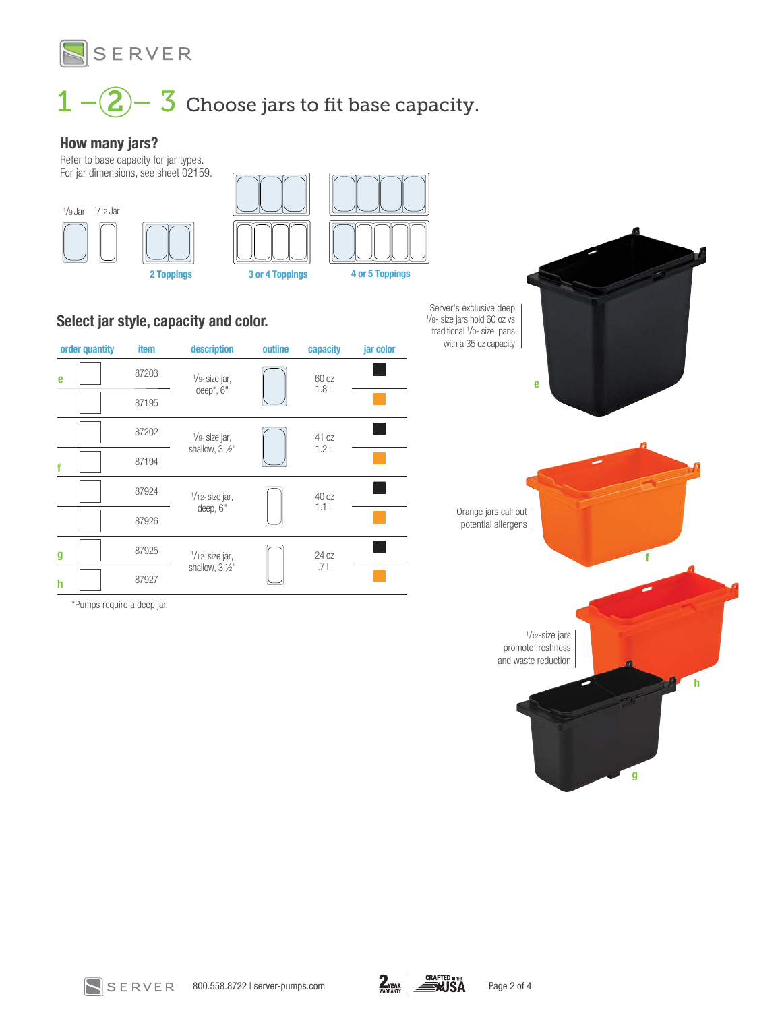

 $1 - 2 - 3$  Choose jars to fit base capacity.

#### How many jars?

Refer to base capacity for jar types. For jar dimensions, see sheet 02159.







### Select jar style, capacity and color.

| order quantity | <b>item</b> | description               | outline | capacity | jar color |
|----------------|-------------|---------------------------|---------|----------|-----------|
| e              | 87203       | $1/9$ - size jar,         |         | 60 oz    |           |
|                | 87195       | deep*, 6"                 |         | 1.8L     |           |
|                | 87202       | $\frac{1}{9}$ - size jar, |         | 41 oz    |           |
| f              | 87194       | shallow, 3 1/2"           |         | 1.2L     |           |
|                | 87924       | $1/12$ - size jar,        |         | 40 oz    |           |
|                | 87926       | deep, 6"                  |         | 1.1L     |           |
| g              | 87925       | $1/12$ - size jar,        |         | 24 oz    |           |
| h              | 87927       | shallow, 3 1/2"           |         | .7 L     |           |

\*Pumps require a deep jar.

e f h g 1/12-size jars promote freshness and waste reduction Orange jars call out potential allergens Server's exclusive deep 1 /9- size jars hold 60 oz vs traditional 1 /9- size pans with a 35 oz capacity



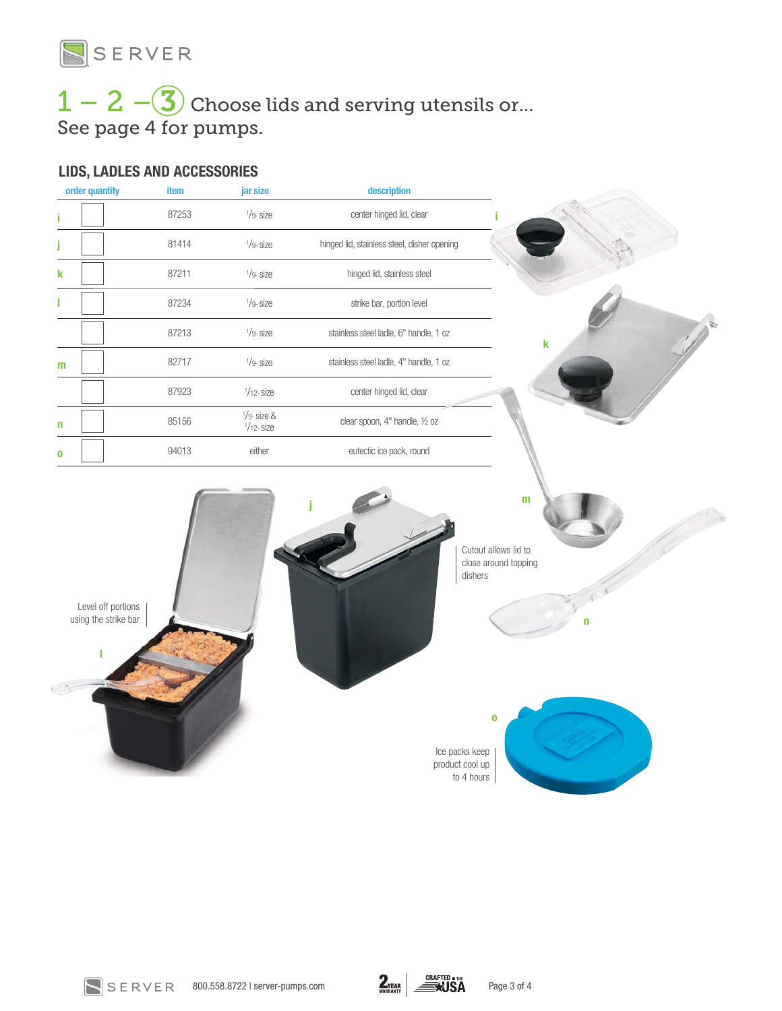

## $1 - 2 - 3$  Choose lids and serving utensils or... See page 4 for pumps.

### LIDS, LADLES AND ACCESSORIES

| order quantity                             | item  | jar size                        | description                                 |                                                   |
|--------------------------------------------|-------|---------------------------------|---------------------------------------------|---------------------------------------------------|
|                                            | 87253 | $1/9 -$ size                    | center hinged lid, clear                    |                                                   |
|                                            | 81414 | $1/9 -$ size                    | hinged lid, stainless steel, disher opening |                                                   |
| k                                          | 87211 | $1/9 -$ size                    | hinged lid, stainless steel                 |                                                   |
|                                            | 87234 | $1/9 -$ size                    | strike bar, portion level                   |                                                   |
|                                            | 87213 | $1/9 -$ size                    | stainless steel ladle, 6" handle, 1 oz      | k                                                 |
| m                                          | 82717 | $1/9 -$ size                    | stainless steel ladle, 4" handle, 1 oz      |                                                   |
|                                            | 87923 | $1/12 -$ size                   | center hinged lid, clear                    |                                                   |
| n                                          | 85156 | $1/9$ - size &<br>$1/12 -$ size | clear spoon, 4" handle, 1/2 oz              |                                                   |
| n                                          | 94013 | either                          | eutectic ice pack, round                    |                                                   |
| Level off portions<br>using the strike bar |       |                                 | dishers                                     | Cutout allows lid to<br>close around topping<br>n |
|                                            |       |                                 |                                             |                                                   |